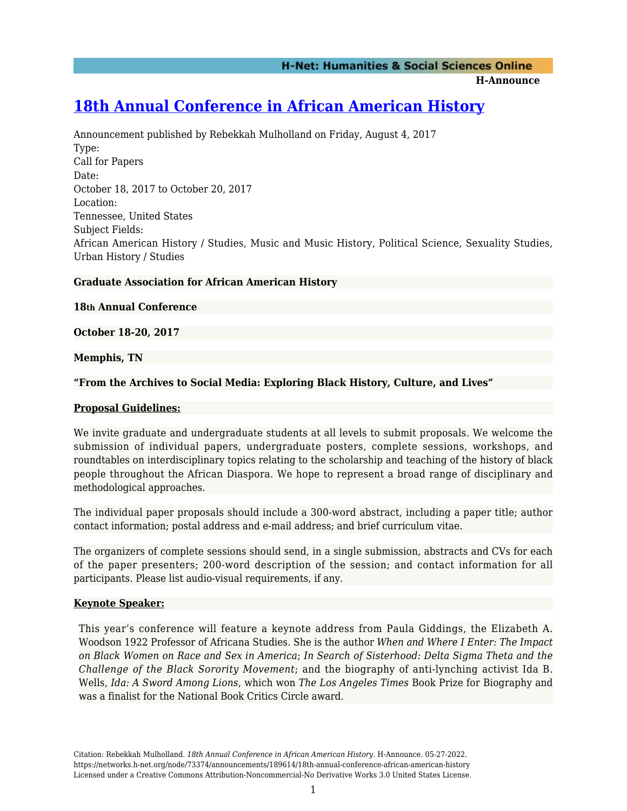**H-Announce** 

# **[18th Annual Conference in African American History](https://networks.h-net.org/node/73374/announcements/189614/18th-annual-conference-african-american-history)**

Announcement published by Rebekkah Mulholland on Friday, August 4, 2017 Type: Call for Papers Date: October 18, 2017 to October 20, 2017 Location: Tennessee, United States Subject Fields: African American History / Studies, Music and Music History, Political Science, Sexuality Studies, Urban History / Studies

## **Graduate Association for African American History**

**18th Annual Conference**

**October 18-20, 2017**

**Memphis, TN**

**"From the Archives to Social Media: Exploring Black History, Culture, and Lives"**

## **Proposal Guidelines:**

We invite graduate and undergraduate students at all levels to submit proposals. We welcome the submission of individual papers, undergraduate posters, complete sessions, workshops, and roundtables on interdisciplinary topics relating to the scholarship and teaching of the history of black people throughout the African Diaspora. We hope to represent a broad range of disciplinary and methodological approaches.

The individual paper proposals should include a 300-word abstract, including a paper title; author contact information; postal address and e-mail address; and brief curriculum vitae.

The organizers of complete sessions should send, in a single submission, abstracts and CVs for each of the paper presenters; 200-word description of the session; and contact information for all participants. Please list audio-visual requirements, if any.

## **Keynote Speaker:**

This year's conference will feature a keynote address from Paula Giddings, the Elizabeth A. Woodson 1922 Professor of Africana Studies*.* She is the author *When and Where I Enter: The Impact on Black Women on Race and Sex in America*; *In Search of Sisterhood: Delta Sigma Theta and the Challenge of the Black Sorority Movement*; and the biography of anti-lynching activist Ida B. Wells, *Ida: A Sword Among Lions*, which won *The Los Angeles Times* Book Prize for Biography and was a finalist for the National Book Critics Circle award.

Citation: Rebekkah Mulholland. *18th Annual Conference in African American History*. H-Announce. 05-27-2022. https://networks.h-net.org/node/73374/announcements/189614/18th-annual-conference-african-american-history Licensed under a Creative Commons Attribution-Noncommercial-No Derivative Works 3.0 United States License.